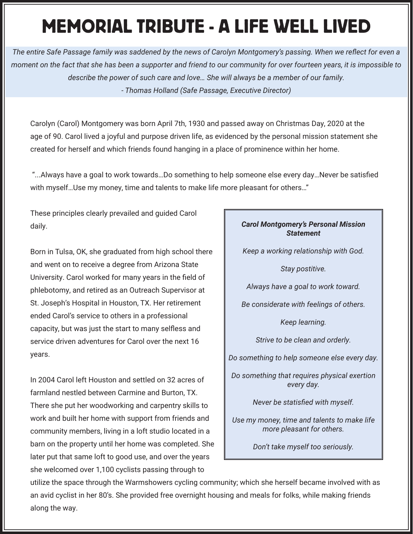## MEMORIAL TRIBUTE - A LIFE WELL LIVED

*The entire Safe Passage family was saddened by the news of Carolyn Montgomery's passing. When we reflect for even a moment on the fact that she has been a supporter and friend to our community for over fourteen years, it is impossible to describe the power of such care and love… She will always be a member of our family. - Thomas Holland (Safe Passage, Executive Director)*

Carolyn (Carol) Montgomery was born April 7th, 1930 and passed away on Christmas Day, 2020 at the age of 90. Carol lived a joyful and purpose driven life, as evidenced by the personal mission statement she created for herself and which friends found hanging in a place of prominence within her home.

 "...Always have a goal to work towards…Do something to help someone else every day…Never be satisfied with myself…Use my money, time and talents to make life more pleasant for others…"

These principles clearly prevailed and guided Carol daily.

Born in Tulsa, OK, she graduated from high school there and went on to receive a degree from Arizona State University. Carol worked for many years in the field of phlebotomy, and retired as an Outreach Supervisor at St. Joseph's Hospital in Houston, TX. Her retirement ended Carol's service to others in a professional capacity, but was just the start to many selfless and service driven adventures for Carol over the next 16 years.

In 2004 Carol left Houston and settled on 32 acres of farmland nestled between Carmine and Burton, TX. There she put her woodworking and carpentry skills to work and built her home with support from friends and community members, living in a loft studio located in a barn on the property until her home was completed. She later put that same loft to good use, and over the years she welcomed over 1,100 cyclists passing through to

## *Carol Montgomery's Personal Mission Statement*

*Keep a working relationship with God.* 

*Stay postitive.*

*Always have a goal to work toward.*

*Be considerate with feelings of others.*

*Keep learning.*

*Strive to be clean and orderly.*

*Do something to help someone else every day.*

*Do something that requires physical exertion every day.*

*Never be statisfied with myself.*

*Use my money, time and talents to make life more pleasant for others.*

*Don't take myself too seriously.*

utilize the space through the Warmshowers cycling community; which she herself became involved with as an avid cyclist in her 80's. She provided free overnight housing and meals for folks, while making friends along the way.